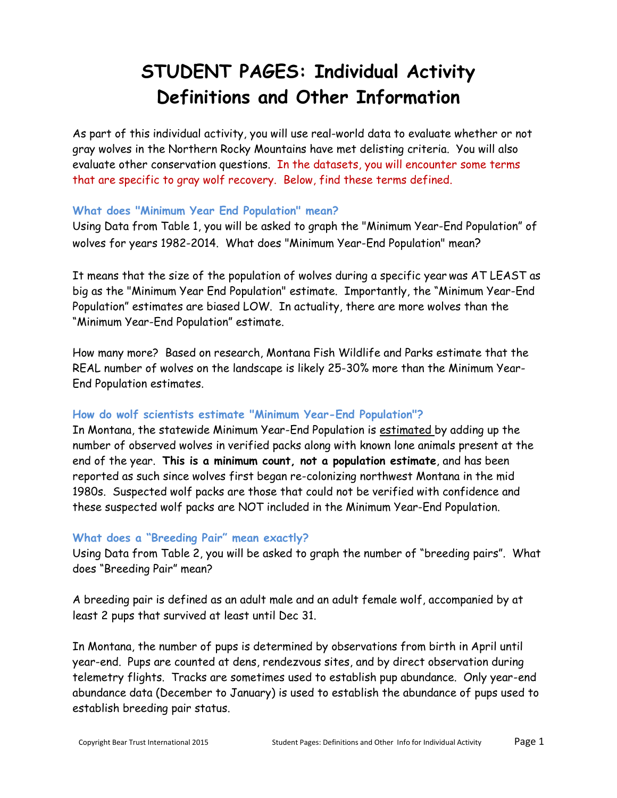# **STUDENT PAGES: Individual Activity Definitions and Other Information**

As part of this individual activity, you will use real-world data to evaluate whether or not gray wolves in the Northern Rocky Mountains have met delisting criteria. You will also evaluate other conservation questions. In the datasets, you will encounter some terms that are specific to gray wolf recovery. Below, find these terms defined.

### **What does "Minimum Year End Population" mean?**

Using Data from Table 1, you will be asked to graph the "Minimum Year-End Population" of wolves for years 1982-2014. What does "Minimum Year-End Population" mean?

It means that the size of the population of wolves during a specific year was AT LEAST as big as the "Minimum Year End Population" estimate. Importantly, the "Minimum Year-End Population" estimates are biased LOW. In actuality, there are more wolves than the "Minimum Year-End Population" estimate.

How many more? Based on research, Montana Fish Wildlife and Parks estimate that the REAL number of wolves on the landscape is likely 25-30% more than the Minimum Year-End Population estimates.

#### **How do wolf scientists estimate "Minimum Year-End Population"?**

In Montana, the statewide Minimum Year-End Population is estimated by adding up the number of observed wolves in verified packs along with known lone animals present at the end of the year. **This is a minimum count, not a population estimate**, and has been reported as such since wolves first began re-colonizing northwest Montana in the mid 1980s. Suspected wolf packs are those that could not be verified with confidence and these suspected wolf packs are NOT included in the Minimum Year-End Population.

#### **What does a "Breeding Pair" mean exactly?**

Using Data from Table 2, you will be asked to graph the number of "breeding pairs". What does "Breeding Pair" mean?

A breeding pair is defined as an adult male and an adult female wolf, accompanied by at least 2 pups that survived at least until Dec 31.

In Montana, the number of pups is determined by observations from birth in April until year-end. Pups are counted at dens, rendezvous sites, and by direct observation during telemetry flights. Tracks are sometimes used to establish pup abundance. Only year-end abundance data (December to January) is used to establish the abundance of pups used to establish breeding pair status.